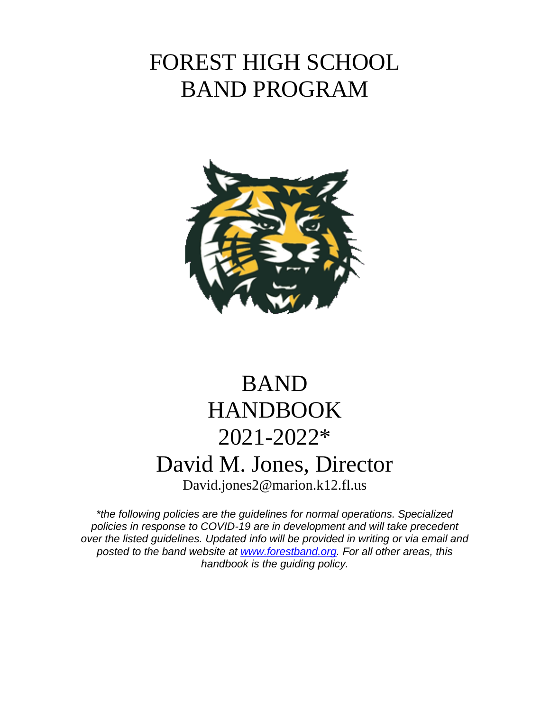# FOREST HIGH SCHOOL BAND PROGRAM



# BAND HANDBOOK 2021-2022\* David M. Jones, Director David.jones2@marion.k12.fl.us

*\*the following policies are the guidelines for normal operations. Specialized policies in response to COVID-19 are in development and will take precedent over the listed guidelines. Updated info will be provided in writing or via email and posted to the band website at [www.forestband.org.](http://www.forestband.org/) For all other areas, this handbook is the guiding policy.*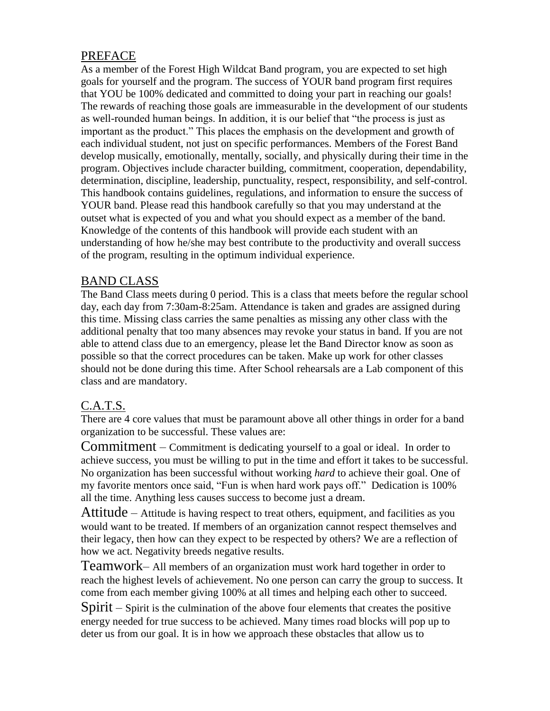# PREFACE

As a member of the Forest High Wildcat Band program, you are expected to set high goals for yourself and the program. The success of YOUR band program first requires that YOU be 100% dedicated and committed to doing your part in reaching our goals! The rewards of reaching those goals are immeasurable in the development of our students as well-rounded human beings. In addition, it is our belief that "the process is just as important as the product." This places the emphasis on the development and growth of each individual student, not just on specific performances. Members of the Forest Band develop musically, emotionally, mentally, socially, and physically during their time in the program. Objectives include character building, commitment, cooperation, dependability, determination, discipline, leadership, punctuality, respect, responsibility, and self-control. This handbook contains guidelines, regulations, and information to ensure the success of YOUR band. Please read this handbook carefully so that you may understand at the outset what is expected of you and what you should expect as a member of the band. Knowledge of the contents of this handbook will provide each student with an understanding of how he/she may best contribute to the productivity and overall success of the program, resulting in the optimum individual experience.

### BAND CLASS

The Band Class meets during 0 period. This is a class that meets before the regular school day, each day from 7:30am-8:25am. Attendance is taken and grades are assigned during this time. Missing class carries the same penalties as missing any other class with the additional penalty that too many absences may revoke your status in band. If you are not able to attend class due to an emergency, please let the Band Director know as soon as possible so that the correct procedures can be taken. Make up work for other classes should not be done during this time. After School rehearsals are a Lab component of this class and are mandatory.

## C.A.T.S.

There are 4 core values that must be paramount above all other things in order for a band organization to be successful. These values are:

Commitment – Commitment is dedicating yourself to a goal or ideal. In order to achieve success, you must be willing to put in the time and effort it takes to be successful. No organization has been successful without working *hard* to achieve their goal. One of my favorite mentors once said, "Fun is when hard work pays off." Dedication is 100% all the time. Anything less causes success to become just a dream.

Attitude – Attitude is having respect to treat others, equipment, and facilities as you would want to be treated. If members of an organization cannot respect themselves and their legacy, then how can they expect to be respected by others? We are a reflection of how we act. Negativity breeds negative results.

Teamwork– All members of an organization must work hard together in order to reach the highest levels of achievement. No one person can carry the group to success. It come from each member giving 100% at all times and helping each other to succeed.

Spirit – Spirit is the culmination of the above four elements that creates the positive energy needed for true success to be achieved. Many times road blocks will pop up to deter us from our goal. It is in how we approach these obstacles that allow us to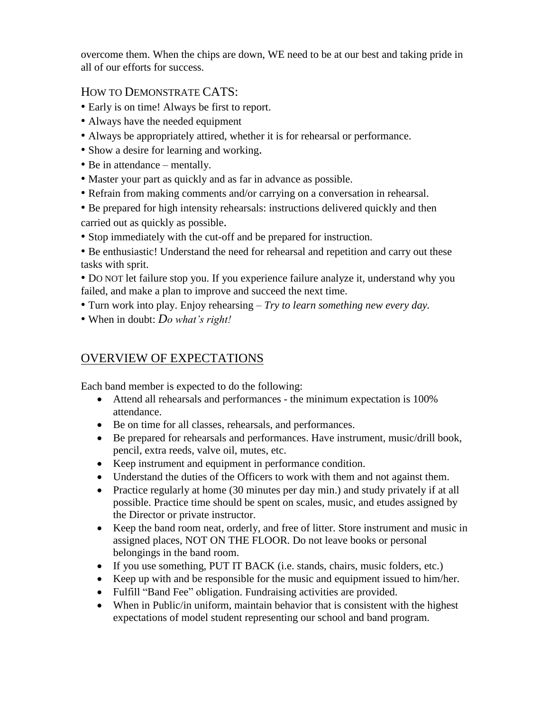overcome them. When the chips are down, WE need to be at our best and taking pride in all of our efforts for success.

### HOW TO DEMONSTRATE CATS:

- Early is on time! Always be first to report.
- Always have the needed equipment
- Always be appropriately attired, whether it is for rehearsal or performance.
- Show a desire for learning and working.
- Be in attendance mentally.
- Master your part as quickly and as far in advance as possible.
- Refrain from making comments and/or carrying on a conversation in rehearsal.
- Be prepared for high intensity rehearsals: instructions delivered quickly and then carried out as quickly as possible.
- Stop immediately with the cut-off and be prepared for instruction.
- Be enthusiastic! Understand the need for rehearsal and repetition and carry out these tasks with sprit.
- DO NOT let failure stop you. If you experience failure analyze it, understand why you failed, and make a plan to improve and succeed the next time.
- Turn work into play. Enjoy rehearsing *Try to learn something new every day.*
- When in doubt: *Do what's right!*

# OVERVIEW OF EXPECTATIONS

Each band member is expected to do the following:

- Attend all rehearsals and performances the minimum expectation is 100% attendance.
- Be on time for all classes, rehearsals, and performances.
- Be prepared for rehearsals and performances. Have instrument, music/drill book, pencil, extra reeds, valve oil, mutes, etc.
- Keep instrument and equipment in performance condition.
- Understand the duties of the Officers to work with them and not against them.
- Practice regularly at home (30 minutes per day min.) and study privately if at all possible. Practice time should be spent on scales, music, and etudes assigned by the Director or private instructor.
- Keep the band room neat, orderly, and free of litter. Store instrument and music in assigned places, NOT ON THE FLOOR. Do not leave books or personal belongings in the band room.
- If you use something, PUT IT BACK (i.e. stands, chairs, music folders, etc.)
- Keep up with and be responsible for the music and equipment issued to him/her.
- Fulfill "Band Fee" obligation. Fundraising activities are provided.
- When in Public/in uniform, maintain behavior that is consistent with the highest expectations of model student representing our school and band program.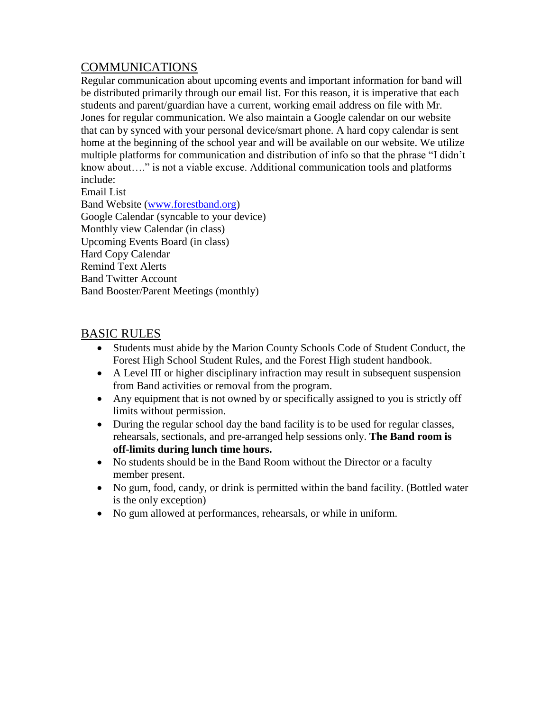# COMMUNICATIONS

Regular communication about upcoming events and important information for band will be distributed primarily through our email list. For this reason, it is imperative that each students and parent/guardian have a current, working email address on file with Mr. Jones for regular communication. We also maintain a Google calendar on our website that can by synced with your personal device/smart phone. A hard copy calendar is sent home at the beginning of the school year and will be available on our website. We utilize multiple platforms for communication and distribution of info so that the phrase "I didn't know about…." is not a viable excuse. Additional communication tools and platforms include:

Email List

Band Website [\(www.forestband.org\)](http://www.forestband.org/) Google Calendar (syncable to your device) Monthly view Calendar (in class) Upcoming Events Board (in class) Hard Copy Calendar Remind Text Alerts Band Twitter Account Band Booster/Parent Meetings (monthly)

### BASIC RULES

- Students must abide by the Marion County Schools Code of Student Conduct, the Forest High School Student Rules, and the Forest High student handbook.
- A Level III or higher disciplinary infraction may result in subsequent suspension from Band activities or removal from the program.
- Any equipment that is not owned by or specifically assigned to you is strictly off limits without permission.
- During the regular school day the band facility is to be used for regular classes, rehearsals, sectionals, and pre-arranged help sessions only. **The Band room is off-limits during lunch time hours.**
- No students should be in the Band Room without the Director or a faculty member present.
- No gum, food, candy, or drink is permitted within the band facility. (Bottled water is the only exception)
- No gum allowed at performances, rehearsals, or while in uniform.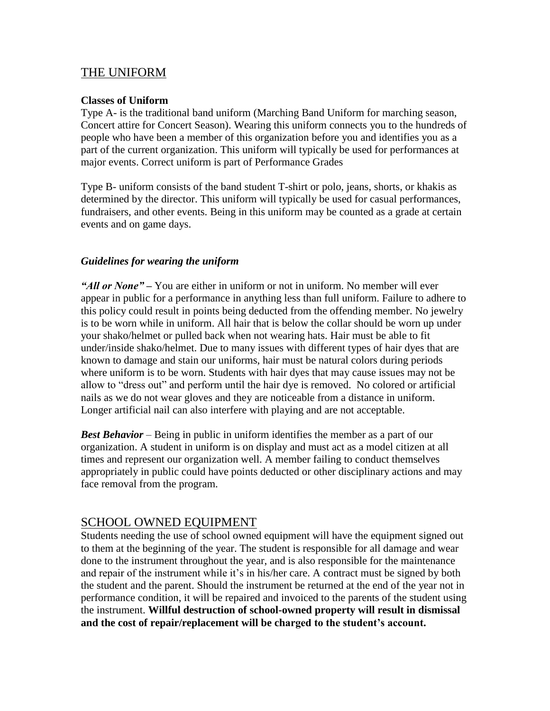### THE UNIFORM

#### **Classes of Uniform**

Type A- is the traditional band uniform (Marching Band Uniform for marching season, Concert attire for Concert Season). Wearing this uniform connects you to the hundreds of people who have been a member of this organization before you and identifies you as a part of the current organization. This uniform will typically be used for performances at major events. Correct uniform is part of Performance Grades

Type B- uniform consists of the band student T-shirt or polo, jeans, shorts, or khakis as determined by the director. This uniform will typically be used for casual performances, fundraisers, and other events. Being in this uniform may be counted as a grade at certain events and on game days.

### *Guidelines for wearing the uniform*

*"All or None" –* You are either in uniform or not in uniform. No member will ever appear in public for a performance in anything less than full uniform. Failure to adhere to this policy could result in points being deducted from the offending member. No jewelry is to be worn while in uniform. All hair that is below the collar should be worn up under your shako/helmet or pulled back when not wearing hats. Hair must be able to fit under/inside shako/helmet. Due to many issues with different types of hair dyes that are known to damage and stain our uniforms, hair must be natural colors during periods where uniform is to be worn. Students with hair dyes that may cause issues may not be allow to "dress out" and perform until the hair dye is removed. No colored or artificial nails as we do not wear gloves and they are noticeable from a distance in uniform. Longer artificial nail can also interfere with playing and are not acceptable.

*Best Behavior* – Being in public in uniform identifies the member as a part of our organization. A student in uniform is on display and must act as a model citizen at all times and represent our organization well. A member failing to conduct themselves appropriately in public could have points deducted or other disciplinary actions and may face removal from the program.

### SCHOOL OWNED EQUIPMENT

Students needing the use of school owned equipment will have the equipment signed out to them at the beginning of the year. The student is responsible for all damage and wear done to the instrument throughout the year, and is also responsible for the maintenance and repair of the instrument while it's in his/her care. A contract must be signed by both the student and the parent. Should the instrument be returned at the end of the year not in performance condition, it will be repaired and invoiced to the parents of the student using the instrument. **Willful destruction of school-owned property will result in dismissal and the cost of repair/replacement will be charged to the student's account.**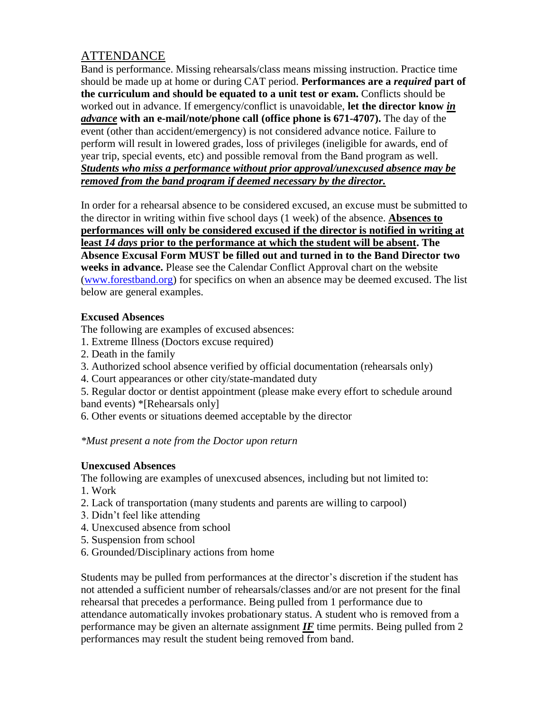# **ATTENDANCE**

Band is performance. Missing rehearsals/class means missing instruction. Practice time should be made up at home or during CAT period. **Performances are a** *required* **part of the curriculum and should be equated to a unit test or exam.** Conflicts should be worked out in advance. If emergency/conflict is unavoidable, **let the director know** *in advance* **with an e-mail/note/phone call (office phone is 671-4707).** The day of the event (other than accident/emergency) is not considered advance notice. Failure to perform will result in lowered grades, loss of privileges (ineligible for awards, end of year trip, special events, etc) and possible removal from the Band program as well. *Students who miss a performance without prior approval/unexcused absence may be removed from the band program if deemed necessary by the director.*

In order for a rehearsal absence to be considered excused, an excuse must be submitted to the director in writing within five school days (1 week) of the absence. **Absences to performances will only be considered excused if the director is notified in writing at least** *14 days* **prior to the performance at which the student will be absent. The Absence Excusal Form MUST be filled out and turned in to the Band Director two weeks in advance.** Please see the Calendar Conflict Approval chart on the website [\(www.forestband.org\)](http://www.forestband.org/) for specifics on when an absence may be deemed excused. The list below are general examples.

### **Excused Absences**

The following are examples of excused absences:

- 1. Extreme Illness (Doctors excuse required)
- 2. Death in the family
- 3. Authorized school absence verified by official documentation (rehearsals only)
- 4. Court appearances or other city/state-mandated duty

5. Regular doctor or dentist appointment (please make every effort to schedule around band events) \*[Rehearsals only]

6. Other events or situations deemed acceptable by the director

### *\*Must present a note from the Doctor upon return*

### **Unexcused Absences**

The following are examples of unexcused absences, including but not limited to:

- 1. Work
- 2. Lack of transportation (many students and parents are willing to carpool)
- 3. Didn't feel like attending
- 4. Unexcused absence from school
- 5. Suspension from school
- 6. Grounded/Disciplinary actions from home

Students may be pulled from performances at the director's discretion if the student has not attended a sufficient number of rehearsals/classes and/or are not present for the final rehearsal that precedes a performance. Being pulled from 1 performance due to attendance automatically invokes probationary status. A student who is removed from a performance may be given an alternate assignment  $I\bar{F}$  time permits. Being pulled from 2 performances may result the student being removed from band.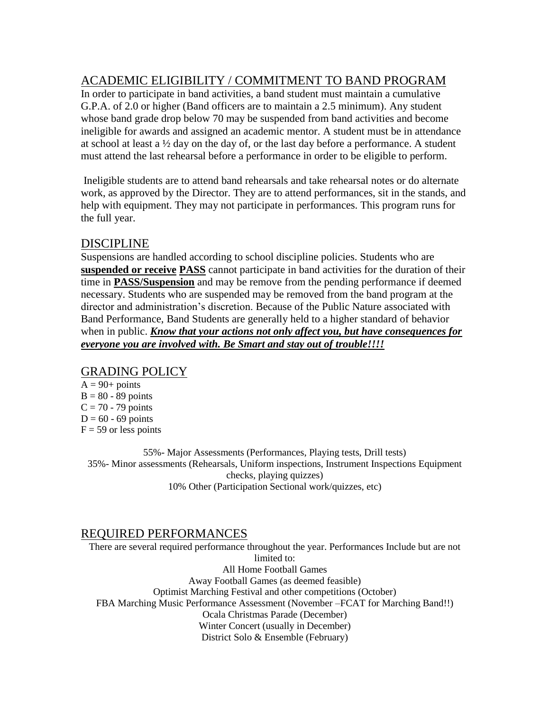# ACADEMIC ELIGIBILITY / COMMITMENT TO BAND PROGRAM

In order to participate in band activities, a band student must maintain a cumulative G.P.A. of 2.0 or higher (Band officers are to maintain a 2.5 minimum). Any student whose band grade drop below 70 may be suspended from band activities and become ineligible for awards and assigned an academic mentor. A student must be in attendance at school at least a  $\frac{1}{2}$  day on the day of, or the last day before a performance. A student must attend the last rehearsal before a performance in order to be eligible to perform.

Ineligible students are to attend band rehearsals and take rehearsal notes or do alternate work, as approved by the Director. They are to attend performances, sit in the stands, and help with equipment. They may not participate in performances. This program runs for the full year.

### DISCIPLINE

Suspensions are handled according to school discipline policies. Students who are **suspended or receive PASS** cannot participate in band activities for the duration of their time in **PASS/Suspension** and may be remove from the pending performance if deemed necessary. Students who are suspended may be removed from the band program at the director and administration's discretion. Because of the Public Nature associated with Band Performance, Band Students are generally held to a higher standard of behavior when in public. *Know that your actions not only affect you, but have consequences for everyone you are involved with. Be Smart and stay out of trouble!!!!*

### GRADING POLICY

 $A = 90+$  points  $B = 80 - 89$  points  $C = 70 - 79$  points  $D = 60 - 69$  points  $F = 59$  or less points

55%- Major Assessments (Performances, Playing tests, Drill tests) 35%- Minor assessments (Rehearsals, Uniform inspections, Instrument Inspections Equipment checks, playing quizzes) 10% Other (Participation Sectional work/quizzes, etc)

### REQUIRED PERFORMANCES

There are several required performance throughout the year. Performances Include but are not limited to: All Home Football Games Away Football Games (as deemed feasible) Optimist Marching Festival and other competitions (October) FBA Marching Music Performance Assessment (November –FCAT for Marching Band!!) Ocala Christmas Parade (December) Winter Concert (usually in December) District Solo & Ensemble (February)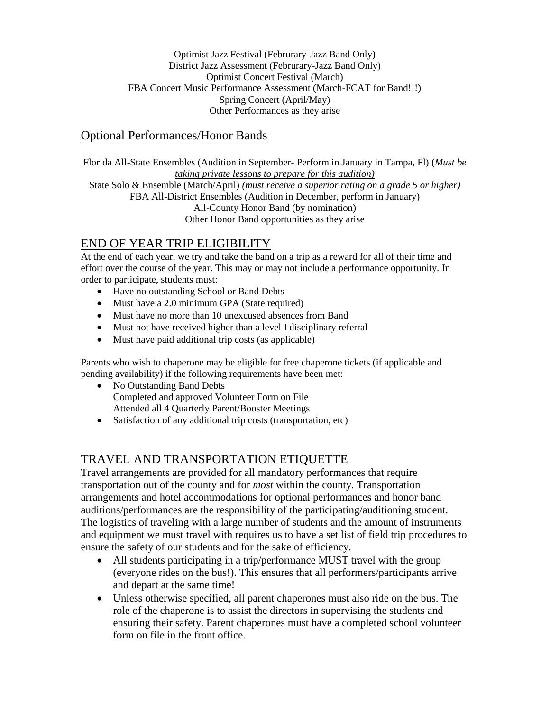#### Optimist Jazz Festival (Februrary-Jazz Band Only) District Jazz Assessment (Februrary-Jazz Band Only) Optimist Concert Festival (March) FBA Concert Music Performance Assessment (March-FCAT for Band!!!) Spring Concert (April/May) Other Performances as they arise

### Optional Performances/Honor Bands

Florida All-State Ensembles (Audition in September- Perform in January in Tampa, Fl) (*Must be taking private lessons to prepare for this audition)*

State Solo & Ensemble (March/April) *(must receive a superior rating on a grade 5 or higher)* FBA All-District Ensembles (Audition in December, perform in January) All-County Honor Band (by nomination)

Other Honor Band opportunities as they arise

# END OF YEAR TRIP ELIGIBILITY

At the end of each year, we try and take the band on a trip as a reward for all of their time and effort over the course of the year. This may or may not include a performance opportunity. In order to participate, students must:

- Have no outstanding School or Band Debts
- Must have a 2.0 minimum GPA (State required)
- Must have no more than 10 unexcused absences from Band
- Must not have received higher than a level I disciplinary referral
- Must have paid additional trip costs (as applicable)

Parents who wish to chaperone may be eligible for free chaperone tickets (if applicable and pending availability) if the following requirements have been met:

- No Outstanding Band Debts Completed and approved Volunteer Form on File Attended all 4 Quarterly Parent/Booster Meetings
- Satisfaction of any additional trip costs (transportation, etc)

## TRAVEL AND TRANSPORTATION ETIQUETTE

Travel arrangements are provided for all mandatory performances that require transportation out of the county and for *most* within the county. Transportation arrangements and hotel accommodations for optional performances and honor band auditions/performances are the responsibility of the participating/auditioning student. The logistics of traveling with a large number of students and the amount of instruments and equipment we must travel with requires us to have a set list of field trip procedures to ensure the safety of our students and for the sake of efficiency.

- All students participating in a trip/performance MUST travel with the group (everyone rides on the bus!). This ensures that all performers/participants arrive and depart at the same time!
- Unless otherwise specified, all parent chaperones must also ride on the bus. The role of the chaperone is to assist the directors in supervising the students and ensuring their safety. Parent chaperones must have a completed school volunteer form on file in the front office.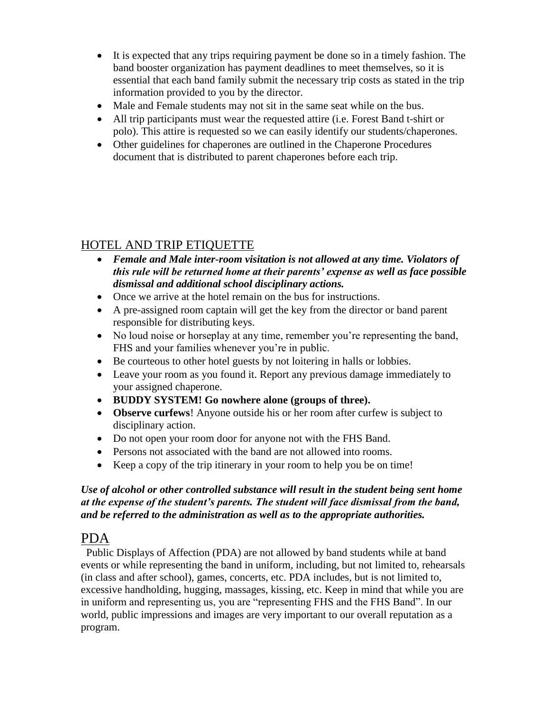- It is expected that any trips requiring payment be done so in a timely fashion. The band booster organization has payment deadlines to meet themselves, so it is essential that each band family submit the necessary trip costs as stated in the trip information provided to you by the director.
- Male and Female students may not sit in the same seat while on the bus.
- All trip participants must wear the requested attire (i.e. Forest Band t-shirt or polo). This attire is requested so we can easily identify our students/chaperones.
- Other guidelines for chaperones are outlined in the Chaperone Procedures document that is distributed to parent chaperones before each trip.

# HOTEL AND TRIP ETIQUETTE

- *Female and Male inter-room visitation is not allowed at any time. Violators of this rule will be returned home at their parents' expense as well as face possible dismissal and additional school disciplinary actions.*
- Once we arrive at the hotel remain on the bus for instructions.
- A pre-assigned room captain will get the key from the director or band parent responsible for distributing keys.
- No loud noise or horseplay at any time, remember you're representing the band, FHS and your families whenever you're in public.
- Be courteous to other hotel guests by not loitering in halls or lobbies.
- Leave your room as you found it. Report any previous damage immediately to your assigned chaperone.
- **BUDDY SYSTEM! Go nowhere alone (groups of three).**
- **Observe curfews**! Anyone outside his or her room after curfew is subject to disciplinary action.
- Do not open your room door for anyone not with the FHS Band.
- Persons not associated with the band are not allowed into rooms.
- Keep a copy of the trip itinerary in your room to help you be on time!

### *Use of alcohol or other controlled substance will result in the student being sent home at the expense of the student's parents. The student will face dismissal from the band, and be referred to the administration as well as to the appropriate authorities.*

# PDA

 Public Displays of Affection (PDA) are not allowed by band students while at band events or while representing the band in uniform, including, but not limited to, rehearsals (in class and after school), games, concerts, etc. PDA includes, but is not limited to, excessive handholding, hugging, massages, kissing, etc. Keep in mind that while you are in uniform and representing us, you are "representing FHS and the FHS Band". In our world, public impressions and images are very important to our overall reputation as a program.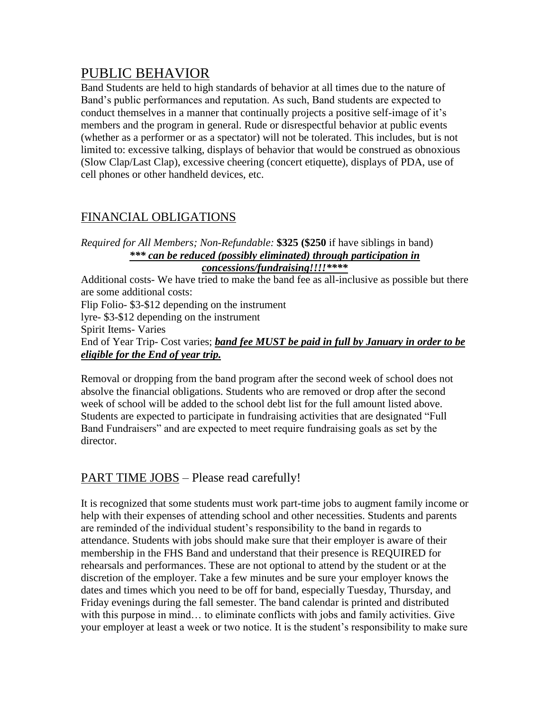# PUBLIC BEHAVIOR

Band Students are held to high standards of behavior at all times due to the nature of Band's public performances and reputation. As such, Band students are expected to conduct themselves in a manner that continually projects a positive self-image of it's members and the program in general. Rude or disrespectful behavior at public events (whether as a performer or as a spectator) will not be tolerated. This includes, but is not limited to: excessive talking, displays of behavior that would be construed as obnoxious (Slow Clap/Last Clap), excessive cheering (concert etiquette), displays of PDA, use of cell phones or other handheld devices, etc.

# FINANCIAL OBLIGATIONS

#### *Required for All Members; Non-Refundable:* **\$325 (\$250** if have siblings in band) *\*\*\* can be reduced (possibly eliminated) through participation in concessions/fundraising!!!!\*\*\*\**

Additional costs- We have tried to make the band fee as all-inclusive as possible but there are some additional costs: Flip Folio- \$3-\$12 depending on the instrument lyre- \$3-\$12 depending on the instrument Spirit Items- Varies End of Year Trip- Cost varies; *band fee MUST be paid in full by January in order to be eligible for the End of year trip.*

Removal or dropping from the band program after the second week of school does not absolve the financial obligations. Students who are removed or drop after the second week of school will be added to the school debt list for the full amount listed above. Students are expected to participate in fundraising activities that are designated "Full Band Fundraisers" and are expected to meet require fundraising goals as set by the director.

# PART TIME JOBS – Please read carefully!

It is recognized that some students must work part-time jobs to augment family income or help with their expenses of attending school and other necessities. Students and parents are reminded of the individual student's responsibility to the band in regards to attendance. Students with jobs should make sure that their employer is aware of their membership in the FHS Band and understand that their presence is REQUIRED for rehearsals and performances. These are not optional to attend by the student or at the discretion of the employer. Take a few minutes and be sure your employer knows the dates and times which you need to be off for band, especially Tuesday, Thursday, and Friday evenings during the fall semester. The band calendar is printed and distributed with this purpose in mind… to eliminate conflicts with jobs and family activities. Give your employer at least a week or two notice. It is the student's responsibility to make sure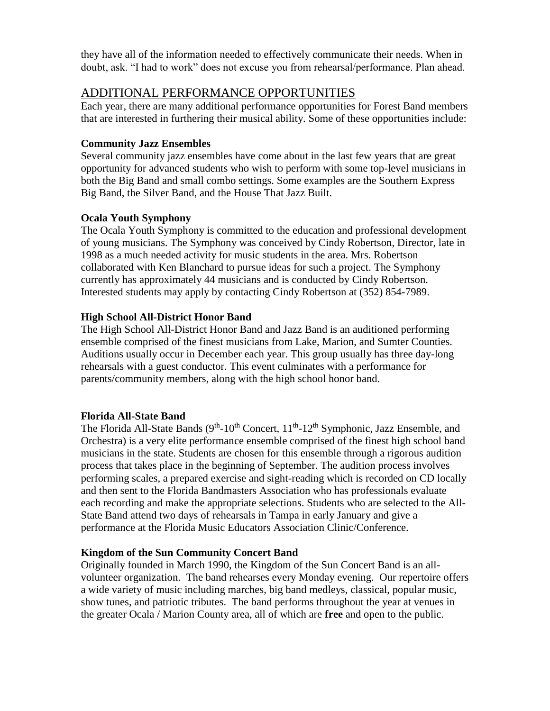they have all of the information needed to effectively communicate their needs. When in doubt, ask. "I had to work" does not excuse you from rehearsal/performance. Plan ahead.

### ADDITIONAL PERFORMANCE OPPORTUNITIES

Each year, there are many additional performance opportunities for Forest Band members that are interested in furthering their musical ability. Some of these opportunities include:

### **Community Jazz Ensembles**

Several community jazz ensembles have come about in the last few years that are great opportunity for advanced students who wish to perform with some top-level musicians in both the Big Band and small combo settings. Some examples are the Southern Express Big Band, the Silver Band, and the House That Jazz Built.

### **Ocala Youth Symphony**

The Ocala Youth Symphony is committed to the education and professional development of young musicians. The Symphony was conceived by Cindy Robertson, Director, late in 1998 as a much needed activity for music students in the area. Mrs. Robertson collaborated with Ken Blanchard to pursue ideas for such a project. The Symphony currently has approximately 44 musicians and is conducted by Cindy Robertson. Interested students may apply by contacting Cindy Robertson at (352) 854-7989.

### **High School All-District Honor Band**

The High School All-District Honor Band and Jazz Band is an auditioned performing ensemble comprised of the finest musicians from Lake, Marion, and Sumter Counties. Auditions usually occur in December each year. This group usually has three day-long rehearsals with a guest conductor. This event culminates with a performance for parents/community members, along with the high school honor band.

### **Florida All-State Band**

The Florida All-State Bands (9<sup>th</sup>-10<sup>th</sup> Concert, 11<sup>th</sup>-12<sup>th</sup> Symphonic, Jazz Ensemble, and Orchestra) is a very elite performance ensemble comprised of the finest high school band musicians in the state. Students are chosen for this ensemble through a rigorous audition process that takes place in the beginning of September. The audition process involves performing scales, a prepared exercise and sight-reading which is recorded on CD locally and then sent to the Florida Bandmasters Association who has professionals evaluate each recording and make the appropriate selections. Students who are selected to the All-State Band attend two days of rehearsals in Tampa in early January and give a performance at the Florida Music Educators Association Clinic/Conference.

### **Kingdom of the Sun Community Concert Band**

Originally founded in March 1990, the Kingdom of the Sun Concert Band is an allvolunteer organization. The band rehearses every Monday evening. Our repertoire offers a wide variety of music including marches, big band medleys, classical, popular music, show tunes, and patriotic tributes. The band performs throughout the year at venues in the greater Ocala / Marion County area, all of which are **free** and open to the public.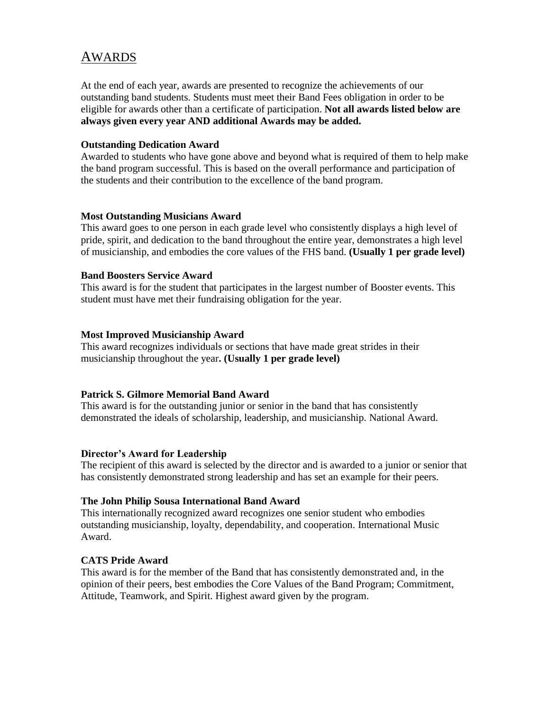# AWARDS

At the end of each year, awards are presented to recognize the achievements of our outstanding band students. Students must meet their Band Fees obligation in order to be eligible for awards other than a certificate of participation. **Not all awards listed below are always given every year AND additional Awards may be added.**

#### **Outstanding Dedication Award**

Awarded to students who have gone above and beyond what is required of them to help make the band program successful. This is based on the overall performance and participation of the students and their contribution to the excellence of the band program.

#### **Most Outstanding Musicians Award**

This award goes to one person in each grade level who consistently displays a high level of pride, spirit, and dedication to the band throughout the entire year, demonstrates a high level of musicianship, and embodies the core values of the FHS band. **(Usually 1 per grade level)**

#### **Band Boosters Service Award**

This award is for the student that participates in the largest number of Booster events. This student must have met their fundraising obligation for the year.

#### **Most Improved Musicianship Award**

This award recognizes individuals or sections that have made great strides in their musicianship throughout the year**. (Usually 1 per grade level)**

#### **Patrick S. Gilmore Memorial Band Award**

This award is for the outstanding junior or senior in the band that has consistently demonstrated the ideals of scholarship, leadership, and musicianship. National Award.

#### **Director's Award for Leadership**

The recipient of this award is selected by the director and is awarded to a junior or senior that has consistently demonstrated strong leadership and has set an example for their peers.

#### **The John Philip Sousa International Band Award**

This internationally recognized award recognizes one senior student who embodies outstanding musicianship, loyalty, dependability, and cooperation. International Music Award.

#### **CATS Pride Award**

This award is for the member of the Band that has consistently demonstrated and, in the opinion of their peers, best embodies the Core Values of the Band Program; Commitment, Attitude, Teamwork, and Spirit. Highest award given by the program.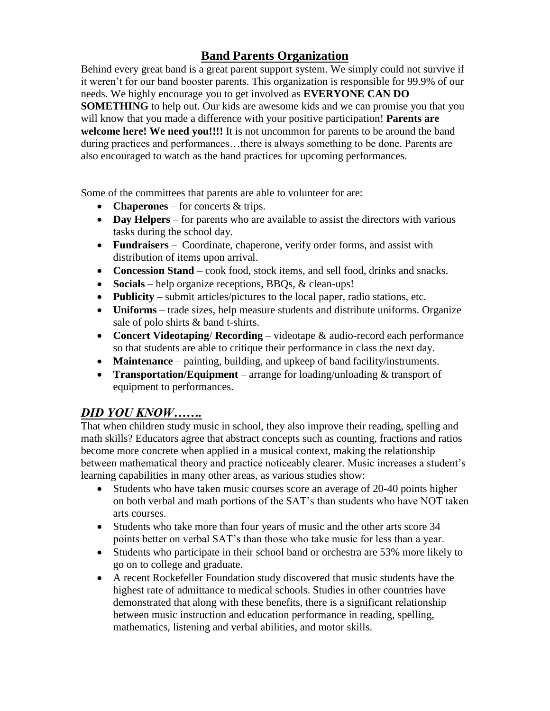# **Band Parents Organization**

Behind every great band is a great parent support system. We simply could not survive if it weren't for our band booster parents. This organization is responsible for 99.9% of our needs. We highly encourage you to get involved as **EVERYONE CAN DO SOMETHING** to help out. Our kids are awesome kids and we can promise you that you will know that you made a difference with your positive participation! **Parents are welcome here! We need you!!!!** It is not uncommon for parents to be around the band during practices and performances…there is always something to be done. Parents are also encouraged to watch as the band practices for upcoming performances.

Some of the committees that parents are able to volunteer for are:

- **Chaperones** for concerts & trips.
- **Day Helpers** for parents who are available to assist the directors with various tasks during the school day.
- **Fundraisers**  Coordinate, chaperone, verify order forms, and assist with distribution of items upon arrival.
- **Concession Stand**  cook food, stock items, and sell food, drinks and snacks.
- **Socials**  help organize receptions, BBQs, & clean-ups!
- **Publicity** submit articles/pictures to the local paper, radio stations, etc.
- **Uniforms**  trade sizes, help measure students and distribute uniforms. Organize sale of polo shirts & band t-shirts.
- **Concert Videotaping**/ **Recording**  videotape & audio-record each performance so that students are able to critique their performance in class the next day.
- **Maintenance**  painting, building, and upkeep of band facility/instruments.
- **Transportation/Equipment** arrange for loading/unloading & transport of equipment to performances.

## *DID YOU KNOW…….*

That when children study music in school, they also improve their reading, spelling and math skills? Educators agree that abstract concepts such as counting, fractions and ratios become more concrete when applied in a musical context, making the relationship between mathematical theory and practice noticeably clearer. Music increases a student's learning capabilities in many other areas, as various studies show:

- Students who have taken music courses score an average of 20-40 points higher on both verbal and math portions of the SAT's than students who have NOT taken arts courses.
- Students who take more than four years of music and the other arts score 34 points better on verbal SAT's than those who take music for less than a year.
- Students who participate in their school band or orchestra are 53% more likely to go on to college and graduate.
- A recent Rockefeller Foundation study discovered that music students have the highest rate of admittance to medical schools. Studies in other countries have demonstrated that along with these benefits, there is a significant relationship between music instruction and education performance in reading, spelling, mathematics, listening and verbal abilities, and motor skills.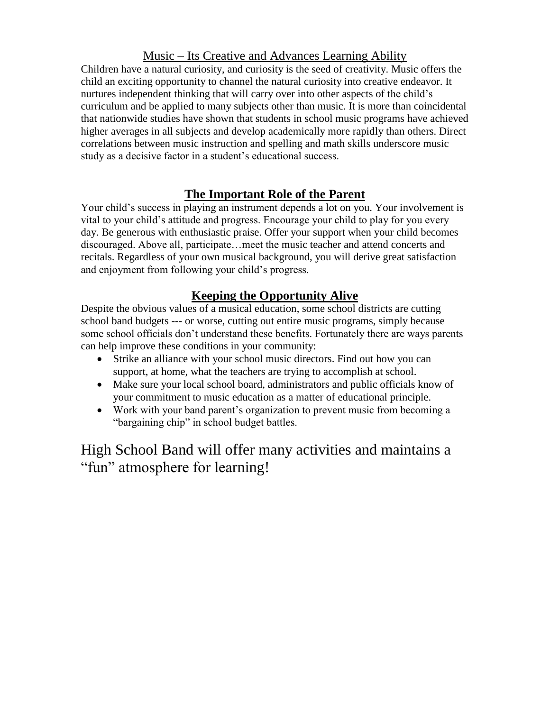# Music – Its Creative and Advances Learning Ability

Children have a natural curiosity, and curiosity is the seed of creativity. Music offers the child an exciting opportunity to channel the natural curiosity into creative endeavor. It nurtures independent thinking that will carry over into other aspects of the child's curriculum and be applied to many subjects other than music. It is more than coincidental that nationwide studies have shown that students in school music programs have achieved higher averages in all subjects and develop academically more rapidly than others. Direct correlations between music instruction and spelling and math skills underscore music study as a decisive factor in a student's educational success.

# **The Important Role of the Parent**

Your child's success in playing an instrument depends a lot on you. Your involvement is vital to your child's attitude and progress. Encourage your child to play for you every day. Be generous with enthusiastic praise. Offer your support when your child becomes discouraged. Above all, participate…meet the music teacher and attend concerts and recitals. Regardless of your own musical background, you will derive great satisfaction and enjoyment from following your child's progress.

# **Keeping the Opportunity Alive**

Despite the obvious values of a musical education, some school districts are cutting school band budgets --- or worse, cutting out entire music programs, simply because some school officials don't understand these benefits. Fortunately there are ways parents can help improve these conditions in your community:

- Strike an alliance with your school music directors. Find out how you can support, at home, what the teachers are trying to accomplish at school.
- Make sure your local school board, administrators and public officials know of your commitment to music education as a matter of educational principle.
- Work with your band parent's organization to prevent music from becoming a "bargaining chip" in school budget battles.

High School Band will offer many activities and maintains a "fun" atmosphere for learning!